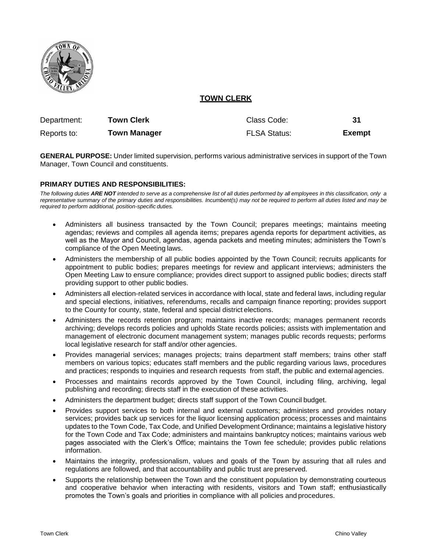

# **TOWN CLERK**

| Department: | <b>Town Clerk</b>   | Class Code:         | 31            |
|-------------|---------------------|---------------------|---------------|
| Reports to: | <b>Town Manager</b> | <b>FLSA Status:</b> | <b>Exempt</b> |

**GENERAL PURPOSE:** Under limited supervision, performs various administrative services in support of the Town Manager, Town Council and constituents.

### **PRIMARY DUTIES AND RESPONSIBILITIES:**

*The following duties ARE NOT intended to serve as a comprehensive list of all duties performed by all employees in this classification, only a representative summary of the primary duties and responsibilities. Incumbent(s) may not be required to perform all duties listed and may be required to perform additional, position-specific duties.*

- Administers all business transacted by the Town Council; prepares meetings; maintains meeting agendas; reviews and compiles all agenda items; prepares agenda reports for department activities, as well as the Mayor and Council, agendas, agenda packets and meeting minutes; administers the Town's compliance of the Open Meeting laws.
- Administers the membership of all public bodies appointed by the Town Council; recruits applicants for appointment to public bodies; prepares meetings for review and applicant interviews; administers the Open Meeting Law to ensure compliance; provides direct support to assigned public bodies; directs staff providing support to other public bodies.
- Administers all election-related services in accordance with local, state and federal laws, including regular and special elections, initiatives, referendums, recalls and campaign finance reporting; provides support to the County for county, state, federal and special district elections.
- Administers the records retention program; maintains inactive records; manages permanent records archiving; develops records policies and upholds State records policies; assists with implementation and management of electronic document management system; manages public records requests; performs local legislative research for staff and/or other agencies.
- Provides managerial services; manages projects; trains department staff members; trains other staff members on various topics; educates staff members and the public regarding various laws, procedures and practices; responds to inquiries and research requests from staff, the public and external agencies.
- Processes and maintains records approved by the Town Council, including filing, archiving, legal publishing and recording; directs staff in the execution of these activities.
- Administers the department budget; directs staff support of the Town Council budget.
- Provides support services to both internal and external customers; administers and provides notary services; provides back up services for the liquor licensing application process; processes and maintains updates to the Town Code, Tax Code, and Unified Development Ordinance; maintains a legislative history for the Town Code and Tax Code; administers and maintains bankruptcy notices; maintains various web pages associated with the Clerk's Office; maintains the Town fee schedule; provides public relations information.
- Maintains the integrity, professionalism, values and goals of the Town by assuring that all rules and regulations are followed, and that accountability and public trust are preserved.
- Supports the relationship between the Town and the constituent population by demonstrating courteous and cooperative behavior when interacting with residents, visitors and Town staff; enthusiastically promotes the Town's goals and priorities in compliance with all policies and procedures.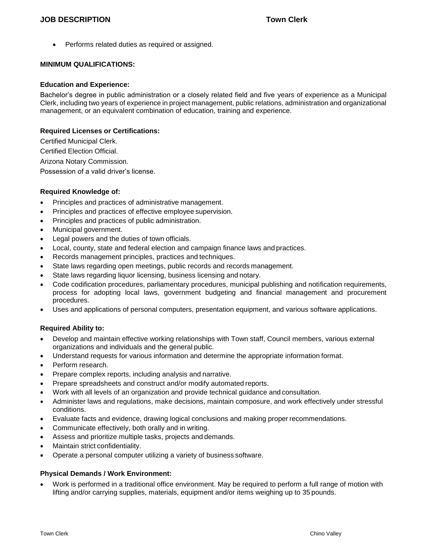Performs related duties as required or assigned.

### **MINIMUM QUALIFICATIONS:**

#### **Education and Experience:**

Bachelor's degree in public administration or a closely related field and five years of experience as a Municipal Clerk, including two years of experience in project management, public relations, administration and organizational management, or an equivalent combination of education, training and experience.

#### **Required Licenses or Certifications:**

Certified Municipal Clerk. Certified Election Official. Arizona Notary Commission. Possession of a valid driver's license.

### **Required Knowledge of:**

- Principles and practices of administrative management.
- Principles and practices of effective employee supervision.
- Principles and practices of public administration.
- Municipal government.
- Legal powers and the duties of town officials.
- Local, county, state and federal election and campaign finance laws and practices.
- Records management principles, practices and techniques.
- State laws regarding open meetings, public records and records management.
- State laws regarding liquor licensing, business licensing and notary.
- Code codification procedures, parliamentary procedures, municipal publishing and notification requirements, process for adopting local laws, government budgeting and financial management and procurement procedures.
- Uses and applications of personal computers, presentation equipment, and various software applications.

### **Required Ability to:**

- Develop and maintain effective working relationships with Town staff, Council members, various external organizations and individuals and the general public.
- Understand requests for various information and determine the appropriate information format.
- Perform research.
- Prepare complex reports, including analysis and narrative.
- Prepare spreadsheets and construct and/or modify automated reports.
- Work with all levels of an organization and provide technical guidance and consultation.
- Administer laws and regulations, make decisions, maintain composure, and work effectively under stressful conditions.
- Evaluate facts and evidence, drawing logical conclusions and making proper recommendations.
- Communicate effectively, both orally and in writing.
- Assess and prioritize multiple tasks, projects and demands.
- Maintain strict confidentiality.
- Operate a personal computer utilizing a variety of business software.

#### **Physical Demands / Work Environment:**

 Work is performed in a traditional office environment. May be required to perform a full range of motion with lifting and/or carrying supplies, materials, equipment and/or items weighing up to 35 pounds.